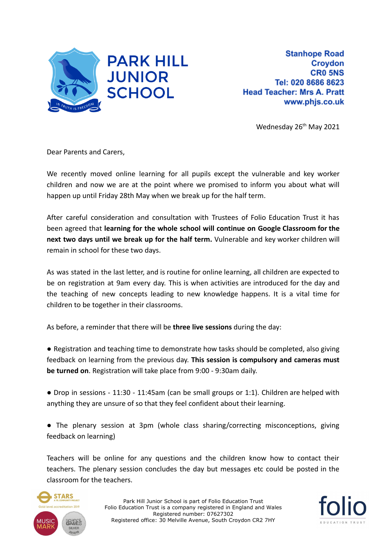

Wednesday 26<sup>th</sup> May 2021

Dear Parents and Carers,

We recently moved online learning for all pupils except the vulnerable and key worker children and now we are at the point where we promised to inform you about what will happen up until Friday 28th May when we break up for the half term.

After careful consideration and consultation with Trustees of Folio Education Trust it has been agreed that **learning for the whole school will continue on Google Classroom for the next two days until we break up for the half term.** Vulnerable and key worker children will remain in school for these two days.

As was stated in the last letter, and is routine for online learning, all children are expected to be on registration at 9am every day. This is when activities are introduced for the day and the teaching of new concepts leading to new knowledge happens. It is a vital time for children to be together in their classrooms.

As before, a reminder that there will be **three live sessions** during the day:

● Registration and teaching time to demonstrate how tasks should be completed, also giving feedback on learning from the previous day. **This session is compulsory and cameras must be turned on**. Registration will take place from 9:00 - 9:30am daily.

● Drop in sessions - 11:30 - 11:45am (can be small groups or 1:1). Children are helped with anything they are unsure of so that they feel confident about their learning.

● The plenary session at 3pm (whole class sharing/correcting misconceptions, giving feedback on learning)

Teachers will be online for any questions and the children know how to contact their teachers. The plenary session concludes the day but messages etc could be posted in the classroom for the teachers.



Park Hill Junior School is part of Folio Education Trust Folio Education Trust is a company registered in England and Wales Registered number: 07627302 Registered office: 30 Melville Avenue, South Croydon CR2 7HY

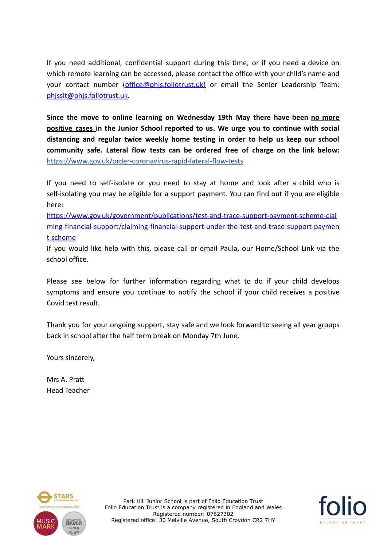If you need additional, confidential support during this time, or if you need a device on which remote learning can be accessed, please contact the office with your child's name and your contact number ([office@phjs.foliotrust.uk](mailto:office@phjs.foliotrust.uk)) or email the Senior Leadership Team: [phjsslt@phjs.foliotrust.uk.](mailto:phjsslt@phjs.foliotrust.uk)

**Since the move to online learning on Wednesday 19th May there have been no more positive cases in the Junior School reported to us. We urge you to continue with social distancing and regular twice weekly home testing in order to help us keep our school community safe. Lateral flow tests can be ordered free of charge on the link below:** <https://www.gov.uk/order-coronavirus-rapid-lateral-flow-tests>

If you need to self-isolate or you need to stay at home and look after a child who is self-isolating you may be eligible for a support payment. You can find out if you are eligible here:

[https://www.gov.uk/government/publications/test-and-trace-support-payment-scheme-clai](https://www.gov.uk/government/publications/test-and-trace-support-payment-scheme-claiming-financial-support/claiming-financial-support-under-the-test-and-trace-support-payment-scheme) [ming-financial-support/claiming-financial-support-under-the-test-and-trace-support-paymen](https://www.gov.uk/government/publications/test-and-trace-support-payment-scheme-claiming-financial-support/claiming-financial-support-under-the-test-and-trace-support-payment-scheme) [t-scheme](https://www.gov.uk/government/publications/test-and-trace-support-payment-scheme-claiming-financial-support/claiming-financial-support-under-the-test-and-trace-support-payment-scheme)

If you would like help with this, please call or email Paula, our Home/School Link via the school office.

Please see below for further information regarding what to do if your child develops symptoms and ensure you continue to notify the school if your child receives a positive Covid test result.

Thank you for your ongoing support, stay safe and we look forward to seeing all year groups back in school after the half term break on Monday 7th June.

Yours sincerely,

Mrs A. Pratt Head Teacher



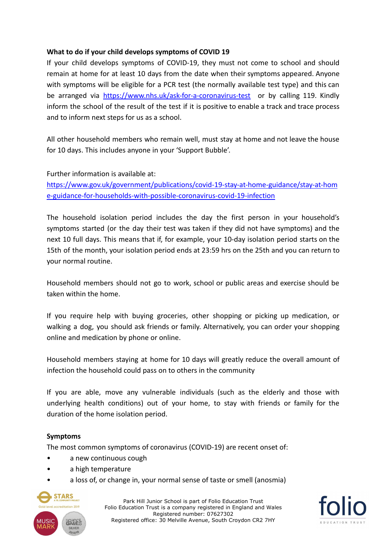## **What to do if your child develops symptoms of COVID 19**

If your child develops symptoms of COVID-19, they must not come to school and should remain at home for at least 10 days from the date when their symptoms appeared. Anyone with symptoms will be eligible for a PCR test (the normally available test type) and this can be arranged via <https://www.nhs.uk/ask-for-a-coronavirus-test> or by calling 119. Kindly inform the school of the result of the test if it is positive to enable a track and trace process and to inform next steps for us as a school.

All other household members who remain well, must stay at home and not leave the house for 10 days. This includes anyone in your 'Support Bubble'.

Further information is available at:

[https://www.gov.uk/government/publications/covid-19-stay-at-home-guidance/stay-at-hom](https://www.gov.uk/government/publications/covid-19-stay-at-home-guidance/stay-at-home-guidance-for-households-with-possible-coronavirus-covid-19-infection) [e-guidance-for-households-with-possible-coronavirus-covid-19-infection](https://www.gov.uk/government/publications/covid-19-stay-at-home-guidance/stay-at-home-guidance-for-households-with-possible-coronavirus-covid-19-infection)

The household isolation period includes the day the first person in your household's symptoms started (or the day their test was taken if they did not have symptoms) and the next 10 full days. This means that if, for example, your 10-day isolation period starts on the 15th of the month, your isolation period ends at 23:59 hrs on the 25th and you can return to your normal routine.

Household members should not go to work, school or public areas and exercise should be taken within the home.

If you require help with buying groceries, other shopping or picking up medication, or walking a dog, you should ask friends or family. Alternatively, you can order your shopping online and medication by phone or online.

Household members staying at home for 10 days will greatly reduce the overall amount of infection the household could pass on to others in the community

If you are able, move any vulnerable individuals (such as the elderly and those with underlying health conditions) out of your home, to stay with friends or family for the duration of the home isolation period.

### **Symptoms**

The most common symptoms of coronavirus (COVID-19) are recent onset of:

- a new continuous cough
- a high temperature
- a loss of, or change in, your normal sense of taste or smell (anosmia)



Park Hill Junior School is part of Folio Education Trust Folio Education Trust is a company registered in England and Wales Registered number: 07627302 Registered office: 30 Melville Avenue, South Croydon CR2 7HY